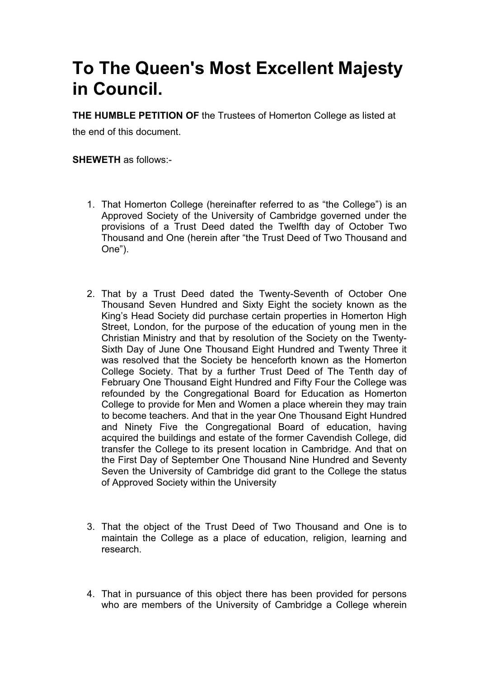# **To The Queen's Most Excellent Majesty in Council.**

**THE HUMBLE PETITION OF** the Trustees of Homerton College as listed at

the end of this document.

**SHEWETH** as follows:-

- 1. That Homerton College (hereinafter referred to as "the College") is an Approved Society of the University of Cambridge governed under the provisions of a Trust Deed dated the Twelfth day of October Two Thousand and One (herein after "the Trust Deed of Two Thousand and One").
- 2. That by a Trust Deed dated the Twenty-Seventh of October One Thousand Seven Hundred and Sixty Eight the society known as the King's Head Society did purchase certain properties in Homerton High Street, London, for the purpose of the education of young men in the Christian Ministry and that by resolution of the Society on the Twenty-Sixth Day of June One Thousand Eight Hundred and Twenty Three it was resolved that the Society be henceforth known as the Homerton College Society. That by a further Trust Deed of The Tenth day of February One Thousand Eight Hundred and Fifty Four the College was refounded by the Congregational Board for Education as Homerton College to provide for Men and Women a place wherein they may train to become teachers. And that in the year One Thousand Eight Hundred and Ninety Five the Congregational Board of education, having acquired the buildings and estate of the former Cavendish College, did transfer the College to its present location in Cambridge. And that on the First Day of September One Thousand Nine Hundred and Seventy Seven the University of Cambridge did grant to the College the status of Approved Society within the University
- 3. That the object of the Trust Deed of Two Thousand and One is to maintain the College as a place of education, religion, learning and research.
- 4. That in pursuance of this object there has been provided for persons who are members of the University of Cambridge a College wherein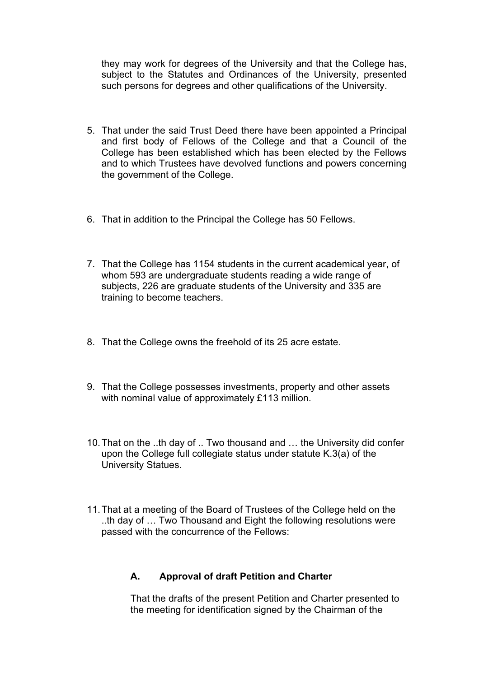they may work for degrees of the University and that the College has, subject to the Statutes and Ordinances of the University, presented such persons for degrees and other qualifications of the University.

- 5. That under the said Trust Deed there have been appointed a Principal and first body of Fellows of the College and that a Council of the College has been established which has been elected by the Fellows and to which Trustees have devolved functions and powers concerning the government of the College.
- 6. That in addition to the Principal the College has 50 Fellows.
- 7. That the College has 1154 students in the current academical year, of whom 593 are undergraduate students reading a wide range of subjects, 226 are graduate students of the University and 335 are training to become teachers.
- 8. That the College owns the freehold of its 25 acre estate.
- 9. That the College possesses investments, property and other assets with nominal value of approximately £113 million.
- 10. That on the ..th day of .. Two thousand and … the University did confer upon the College full collegiate status under statute K.3(a) of the University Statues.
- 11. That at a meeting of the Board of Trustees of the College held on the ..th day of … Two Thousand and Eight the following resolutions were passed with the concurrence of the Fellows:

### **A. Approval of draft Petition and Charter**

That the drafts of the present Petition and Charter presented to the meeting for identification signed by the Chairman of the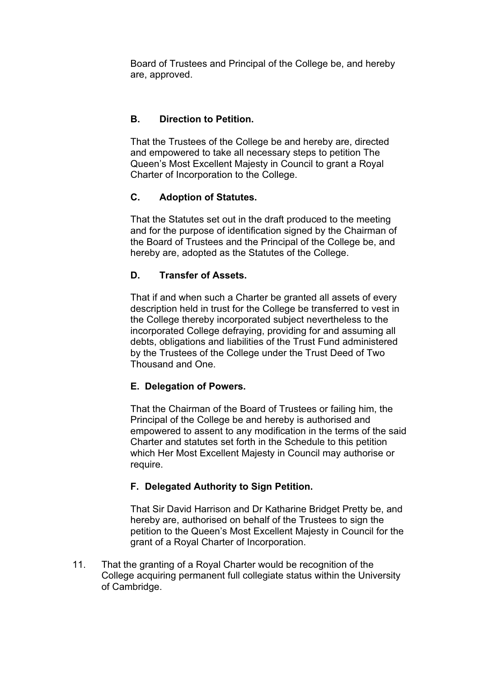Board of Trustees and Principal of the College be, and hereby are, approved.

## **B. Direction to Petition.**

That the Trustees of the College be and hereby are, directed and empowered to take all necessary steps to petition The Queen's Most Excellent Majesty in Council to grant a Royal Charter of Incorporation to the College.

## **C. Adoption of Statutes.**

That the Statutes set out in the draft produced to the meeting and for the purpose of identification signed by the Chairman of the Board of Trustees and the Principal of the College be, and hereby are, adopted as the Statutes of the College.

## **D. Transfer of Assets.**

That if and when such a Charter be granted all assets of every description held in trust for the College be transferred to vest in the College thereby incorporated subject nevertheless to the incorporated College defraying, providing for and assuming all debts, obligations and liabilities of the Trust Fund administered by the Trustees of the College under the Trust Deed of Two Thousand and One.

### **E. Delegation of Powers.**

That the Chairman of the Board of Trustees or failing him, the Principal of the College be and hereby is authorised and empowered to assent to any modification in the terms of the said Charter and statutes set forth in the Schedule to this petition which Her Most Excellent Majesty in Council may authorise or require.

### **F. Delegated Authority to Sign Petition.**

That Sir David Harrison and Dr Katharine Bridget Pretty be, and hereby are, authorised on behalf of the Trustees to sign the petition to the Queen's Most Excellent Majesty in Council for the grant of a Royal Charter of Incorporation.

11. That the granting of a Royal Charter would be recognition of the College acquiring permanent full collegiate status within the University of Cambridge.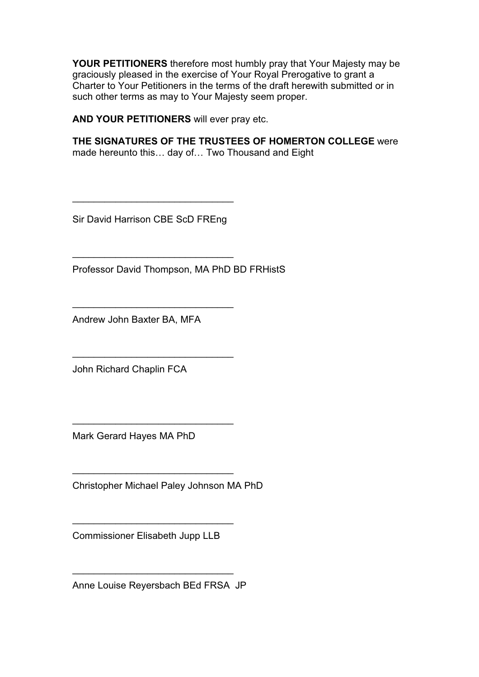**YOUR PETITIONERS** therefore most humbly pray that Your Majesty may be graciously pleased in the exercise of Your Royal Prerogative to grant a Charter to Your Petitioners in the terms of the draft herewith submitted or in such other terms as may to Your Majesty seem proper.

**AND YOUR PETITIONERS** will ever pray etc.

**THE SIGNATURES OF THE TRUSTEES OF HOMERTON COLLEGE** were made hereunto this… day of… Two Thousand and Eight

Sir David Harrison CBE ScD FREng

\_\_\_\_\_\_\_\_\_\_\_\_\_\_\_\_\_\_\_\_\_\_\_\_\_\_\_\_\_\_

\_\_\_\_\_\_\_\_\_\_\_\_\_\_\_\_\_\_\_\_\_\_\_\_\_\_\_\_\_\_

\_\_\_\_\_\_\_\_\_\_\_\_\_\_\_\_\_\_\_\_\_\_\_\_\_\_\_\_\_\_

\_\_\_\_\_\_\_\_\_\_\_\_\_\_\_\_\_\_\_\_\_\_\_\_\_\_\_\_\_\_

 $\overline{\phantom{a}}$  , which is a set of the set of the set of the set of the set of the set of the set of the set of the set of the set of the set of the set of the set of the set of the set of the set of the set of the set of th

 $\mathcal{L}_\mathcal{L}$  , which is a set of the set of the set of the set of the set of the set of the set of the set of the set of the set of the set of the set of the set of the set of the set of the set of the set of the set of

Professor David Thompson, MA PhD BD FRHistS

Andrew John Baxter BA, MFA

John Richard Chaplin FCA

Mark Gerard Hayes MA PhD

Christopher Michael Paley Johnson MA PhD

Commissioner Elisabeth Jupp LLB

\_\_\_\_\_\_\_\_\_\_\_\_\_\_\_\_\_\_\_\_\_\_\_\_\_\_\_\_\_\_

Anne Louise Reyersbach BEd FRSA JP

\_\_\_\_\_\_\_\_\_\_\_\_\_\_\_\_\_\_\_\_\_\_\_\_\_\_\_\_\_\_